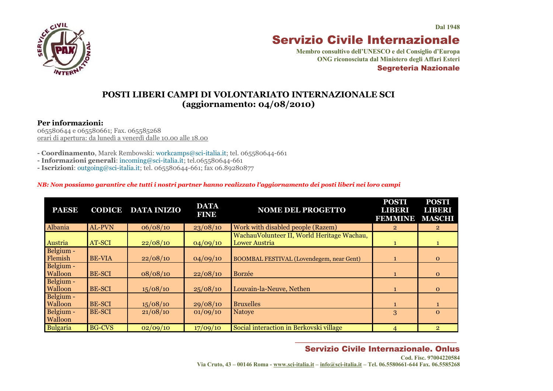$C$ <sub>VIL</sub>

# Servizio Civile Internazionale

**Membro consultivo dell'UNESCO e del Consiglio d'Europa ONG riconosciuta dal Ministero degli Affari Esteri** Segreteria Nazionale

### **POSTI LIBERI CAMPI DI VOLONTARIATO INTERNAZIONALE SCI (aggiornamento: 04/08/2010)**

#### **Per informazioni:**

065580644 e 065580661; Fax. 065585268 orari di apertura: da lunedì a venerdì dalle 10.00 alle 18.00

**- Coordinamento**, Marek Rembowski: [workcamps@sci-italia.it;](mailto:workcamps@sci-italia.it) tel. 065580644-661

**- Informazioni generali**: [incoming@sci-italia.it;](mailto:incoming@sci-italia.it) tel.065580644-661

**- Iscrizioni**: [outgoing@sci-italia.it;](mailto:outgoing@sci-italia.it) tel. 065580644-661; fax 06.89280877

#### *NB: Non possiamo garantire che tutti i nostri partner hanno realizzato l'aggiornamento dei posti liberi nei loro campi*

| <b>PAESE</b>                | <b>CODICE</b> | <b>DATA INIZIO</b> | <b>DATA</b><br><b>FINE</b> | <b>NOME DEL PROGETTO</b>                                    | <b>POSTI</b><br><b>LIBERI</b><br><b>FEMMINE</b> | <b>POSTI</b><br><b>LIBERI</b><br><b>MASCHI</b> |
|-----------------------------|---------------|--------------------|----------------------------|-------------------------------------------------------------|-------------------------------------------------|------------------------------------------------|
| Albania                     | AL-PVN        | 06/08/10           | 23/08/10                   | Work with disabled people (Razem)                           | $\overline{2}$                                  | $\overline{2}$                                 |
| Austria                     | AT-SCI        | 22/08/10           | 04/09/10                   | WachauVolunteer II, World Heritage Wachau,<br>Lower Austria | $\mathbf{1}$                                    |                                                |
| Belgium -<br>Flemish        | <b>BE-VIA</b> | 22/08/10           | 04/09/10                   | <b>BOOMBAL FESTIVAL (Lovendegem, near Gent)</b>             |                                                 | $\Omega$                                       |
| Belgium -<br><b>Walloon</b> | <b>BE-SCI</b> | 08/08/10           | 22/08/10                   | Borzée                                                      |                                                 | $\Omega$                                       |
| Belgium -<br><b>Walloon</b> | <b>BE-SCI</b> | 15/08/10           | 25/08/10                   | Louvain-la-Neuve, Nethen                                    |                                                 | $\Omega$                                       |
| Belgium -<br><b>Walloon</b> | <b>BE-SCI</b> | 15/08/10           | 29/08/10                   | <b>Bruxelles</b>                                            |                                                 |                                                |
| Belgium -<br><b>Walloon</b> | <b>BE-SCI</b> | 21/08/10           | 01/09/10                   | <b>Natoye</b>                                               | 3                                               | $\Omega$                                       |
| <b>Bulgaria</b>             | <b>BG-CVS</b> | 02/09/10           | 17/09/10                   | Social interaction in Berkovski village                     | 4                                               | $\overline{2}$                                 |

#### *\_\_\_\_\_\_\_\_\_\_\_\_\_\_\_\_\_\_\_\_\_\_\_\_\_\_\_\_\_\_\_\_\_\_\_\_\_\_\_\_\_*  Servizio Civile Internazionale. Onlus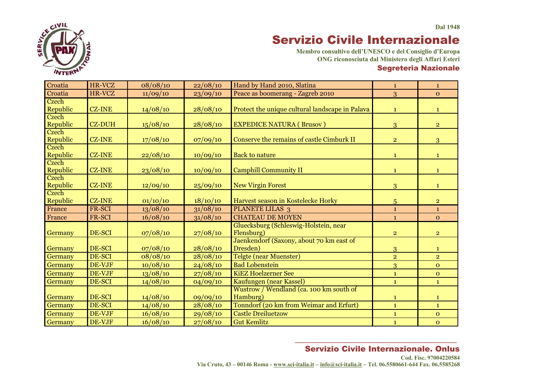

**Membro consultivo dell'UNESCO e del Consiglio d'Europa ONG riconosciuta dal Ministero degli Affari Esteri** Segreteria Nazionale

| Croatia           | HR-VCZ        | 08/08/10 | 22/08/10 | Hand by Hand 2010, Slatina                           | $\mathbf{1}$    | $\mathbf{1}$   |
|-------------------|---------------|----------|----------|------------------------------------------------------|-----------------|----------------|
| Croatia           | HR-VCZ        | 11/09/10 | 23/09/10 | Peace as boomerang - Zagreb 2010                     | 3               | $\mathbf{O}$   |
| Czech<br>Republic | <b>CZ-INE</b> | 14/08/10 | 28/08/10 | Protect the unique cultural landscape in Palava      | $\mathbf{1}$    | $\mathbf{1}$   |
| Czech<br>Republic | <b>CZ-DUH</b> | 15/08/10 | 28/08/10 | <b>EXPEDICE NATURA (Brusov)</b>                      | 3               | $\overline{2}$ |
| Czech<br>Republic | <b>CZ-INE</b> | 17/08/10 | 07/09/10 | Conserve the remains of castle Cimburk II            | $\overline{2}$  | 3              |
| Czech<br>Republic | <b>CZ-INE</b> | 22/08/10 | 10/09/10 | <b>Back to nature</b>                                | $\mathbf{1}$    | $\mathbf{1}$   |
| Czech<br>Republic | <b>CZ-INE</b> | 23/08/10 | 10/09/10 | <b>Camphill Community II</b>                         | $\mathbf{1}$    | $\mathbf{1}$   |
| Czech<br>Republic | <b>CZ-INE</b> | 12/09/10 | 25/09/10 | <b>New Virgin Forest</b>                             | $\overline{3}$  | $\mathbf{1}$   |
| Czech<br>Republic | <b>CZ-INE</b> | 01/10/10 | 18/10/10 | Harvest season in Kostelecke Horky                   | $5\overline{)}$ | $\overline{2}$ |
| France            | FR-SCI        | 13/08/10 | 31/08/10 | <b>PLANETE LILAS 3</b>                               | $\mathbf{1}$    | $\mathbf{1}$   |
| France            | FR-SCI        | 16/08/10 | 31/08/10 | <b>CHATEAU DE MOYEN</b>                              | $\mathbf{1}$    | $\overline{O}$ |
| Germany           | DE-SCI        | 07/08/10 | 27/08/10 | Gluecksburg (Schleswig-Holstein, near<br>Flensburg)  | $\overline{2}$  | $\overline{2}$ |
| Germany           | DE-SCI        | 07/08/10 | 28/08/10 | Jaenkendorf (Saxony, about 70 km east of<br>Dresden) | $\overline{3}$  | $\mathbf{1}$   |
| Germany           | DE-SCI        | 08/08/10 | 28/08/10 | <b>Telgte (near Muenster)</b>                        | $\overline{2}$  | $\overline{2}$ |
| Germany           | DE-VJF        | 10/08/10 | 24/08/10 | <b>Bad Lobenstein</b>                                | 3               | $\mathbf{O}$   |
| Germany           | DE-VJF        | 13/08/10 | 27/08/10 | <b>KiEZ Hoelzerner See</b>                           | $\mathbf 1$     | $\mathbf{o}$   |
| Germany           | DE-SCI        | 14/08/10 | 04/09/10 | Kaufungen (near Kassel)                              | $\mathbf{1}$    | $\mathbf{1}$   |
| Germany           | DE-SCI        | 14/08/10 | 09/09/10 | Wustrow / Wendland (ca. 100 km south of<br>Hamburg)  | $\mathbf{1}$    | $\mathbf{1}$   |
| Germany           | DE-SCI        | 14/08/10 | 28/08/10 | Tonndorf (20 km from Weimar and Erfurt)              | $\mathbf{1}$    | $\mathbf{1}$   |
| Germany           | DE-VJF        | 16/08/10 | 29/08/10 | <b>Castle Dreiluetzow</b>                            | $\mathbf{1}$    | $\overline{O}$ |
| Germany           | DE-VJF        | 16/08/10 | 27/08/10 | <b>Gut Kemlitz</b>                                   | $\mathbf{1}$    | $\mathbf{O}$   |

#### *\_\_\_\_\_\_\_\_\_\_\_\_\_\_\_\_\_\_\_\_\_\_\_\_\_\_\_\_\_\_\_\_\_\_\_\_\_\_\_\_\_*  Servizio Civile Internazionale. Onlus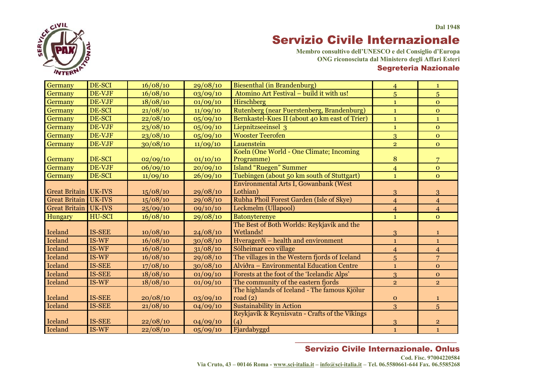

**Membro consultivo dell'UNESCO e del Consiglio d'Europa ONG riconosciuta dal Ministero degli Affari Esteri** Segreteria Nazionale

| Germany              | DE-SCI        | 16/08/10 | 29/08/10 | Biesenthal (in Brandenburg)                             | $\overline{4}$ | $\mathbf{1}$   |
|----------------------|---------------|----------|----------|---------------------------------------------------------|----------------|----------------|
| Germany              | DE-VJF        | 16/08/10 | 03/09/10 | Atomino Art Festival - build it with us!                | 5              | 5              |
| Germany              | DE-VJF        | 18/08/10 | 01/09/10 | Hirschberg                                              | $\mathbf{1}$   | $\overline{O}$ |
| Germany              | DE-SCI        | 21/08/10 | 11/09/10 | Rutenberg (near Fuerstenberg, Brandenburg)              | $\mathbf{1}$   | $\overline{O}$ |
| Germany              | DE-SCI        | 22/08/10 | 05/09/10 | Bernkastel-Kues II (about 40 km east of Trier)          | $\mathbf{1}$   | $\mathbf{1}$   |
| Germany              | DE-VJF        | 23/08/10 | 05/09/10 | Liepnitzseeinsel 3                                      | $\mathbf{1}$   | $\overline{O}$ |
| Germany              | DE-VJF        | 23/08/10 | 05/09/10 | <b>Wooster Teerofen</b>                                 | $\overline{3}$ | $\overline{O}$ |
| Germany              | DE-VJF        | 30/08/10 | 11/09/10 | Lauenstein                                              | $\overline{2}$ | $\overline{O}$ |
| Germany              | DE-SCI        | 02/09/10 | 01/10/10 | Koeln (One World - One Climate; Incoming<br>Programme)  | 8              | 7              |
| Germany              | DE-VJF        | 06/09/10 | 20/09/10 | <b>Island "Ruegen" Summer</b>                           | $\overline{4}$ | $\Omega$       |
| Germany              | DE-SCI        | 11/09/10 | 26/09/10 | Tuebingen (about 50 km south of Stuttgart)              | $\mathbf{1}$   | $\overline{O}$ |
|                      |               |          |          | Environmental Arts I, Gowanbank (West                   |                |                |
| Great Britain        | UK-IVS        | 15/08/10 | 29/08/10 | Lothian)                                                | 3              | 3              |
| <b>Great Britain</b> | UK-IVS        | 15/08/10 | 29/08/10 | Rubha Phoil Forest Garden (Isle of Skye)                | $\overline{4}$ | $\overline{4}$ |
| Great Britain        | <b>UK-IVS</b> | 25/09/10 | 09/10/10 | Leckmelm (Ullapool)                                     | $\overline{4}$ | $\overline{4}$ |
| Hungary              | <b>HU-SCI</b> | 16/08/10 | 29/08/10 | <b>Batonyterenye</b>                                    | $\mathbf{1}$   | $\overline{O}$ |
|                      |               |          |          | The Best of Both Worlds: Reykjavík and the              |                |                |
| Iceland              | <b>IS-SEE</b> | 10/08/10 | 24/08/10 | Wetlands!                                               | 3              | 1              |
| Iceland              | IS-WF         | 16/08/10 | 30/08/10 | Hveragerði - health and environment                     | $\mathbf{1}$   | $\mathbf{1}$   |
| Iceland              | IS-WF         | 16/08/10 | 31/08/10 | Sólheimar eco village                                   | $\overline{4}$ | $\overline{4}$ |
| Iceland              | IS-WF         | 16/08/10 | 29/08/10 | The villages in the Western fjords of Iceland           | $\overline{5}$ | 7              |
| Iceland              | <b>IS-SEE</b> | 17/08/10 | 30/08/10 | Alviðra - Environmental Education Centre                | $\mathbf{1}$   | $\overline{O}$ |
| Iceland              | <b>IS-SEE</b> | 18/08/10 | 01/09/10 | Forests at the foot of the 'Icelandic Alps'             | 3              | $\mathbf{O}$   |
| Iceland              | IS-WF         | 18/08/10 | 01/09/10 | The community of the eastern fjords                     | $\overline{2}$ | $\overline{2}$ |
| Iceland              | <b>IS-SEE</b> | 20/08/10 | 03/09/10 | The highlands of Iceland - The famous Kjölur<br>road(2) | $\mathbf{o}$   | $\mathbf{1}$   |
| <b>Iceland</b>       | <b>IS-SEE</b> | 21/08/10 | 04/09/10 | <b>Sustainability in Action</b>                         | 3              | 5              |
| Iceland              | <b>IS-SEE</b> | 22/08/10 | 04/09/10 | Reykjavík & Reynisvatn - Crafts of the Vikings<br>(4)   | $\overline{3}$ | $\overline{2}$ |
| Iceland              | IS-WF         | 22/08/10 | 05/09/10 | Fjardabyggd                                             | $\mathbf{1}$   | $\mathbf{1}$   |
|                      |               |          |          |                                                         |                |                |

### Servizio Civile Internazionale. Onlus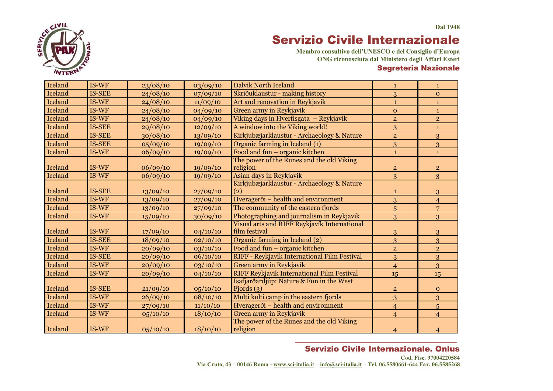

**Membro consultivo dell'UNESCO e del Consiglio d'Europa ONG riconosciuta dal Ministero degli Affari Esteri** Segreteria Nazionale

| Iceland        | IS-WF         | 23/08/10 | 03/09/10 | <b>Dalvik North Iceland</b>                  | $\mathbf{1}$   | $\mathbf{1}$   |
|----------------|---------------|----------|----------|----------------------------------------------|----------------|----------------|
| Iceland        | <b>IS-SEE</b> | 24/08/10 | 07/09/10 | Skriðuklaustur - making history              | 3              | $\mathbf{O}$   |
| <b>Iceland</b> | IS-WF         | 24/08/10 | 11/09/10 | Art and renovation in Reykjavik              | $\mathbf{1}$   | $\mathbf{1}$   |
| Iceland        | IS-WF         | 24/08/10 | 04/09/10 | Green army in Reykjavík                      | $\mathbf{O}$   | $\mathbf{1}$   |
| Iceland        | IS-WF         | 24/08/10 | 04/09/10 | Viking days in Hverfisgata - Reykjavik       | $\overline{2}$ | $\overline{2}$ |
| Iceland        | <b>IS-SEE</b> | 29/08/10 | 12/09/10 | A window into the Viking world!              | 3              | $\mathbf{1}$   |
| Iceland        | <b>IS-SEE</b> | 30/08/10 | 13/09/10 | Kirkjubæjarklaustur - Archaeology & Nature   | $\overline{2}$ | 3              |
| Iceland        | <b>IS-SEE</b> | 05/09/10 | 19/09/10 | Organic farming in Iceland (1)               | 3              | 3              |
| Iceland        | IS-WF         | 06/09/10 | 19/09/10 | Food and fun - organic kitchen               | $\mathbf{1}$   | $\mathbf{1}$   |
|                |               |          |          | The power of the Runes and the old Viking    |                |                |
| Iceland        | IS-WF         | 06/09/10 | 19/09/10 | religion                                     | $\overline{2}$ | $\overline{2}$ |
| Iceland        | IS-WF         | 06/09/10 | 19/09/10 | Asian days in Reykjavik                      | 3              | $\overline{3}$ |
|                |               |          |          | Kirkjubæjarklaustur - Archaeology & Nature   |                |                |
| Iceland        | <b>IS-SEE</b> | 13/09/10 | 27/09/10 | (2)                                          | $\mathbf{1}$   | 3              |
| <b>Iceland</b> | IS-WF         | 13/09/10 | 27/09/10 | Hveragerði - health and environment          | 3              | $\overline{4}$ |
| Iceland        | IS-WF         | 13/09/10 | 27/09/10 | The community of the eastern fjords          | $\overline{5}$ | $\overline{7}$ |
| Iceland        | IS-WF         | 15/09/10 | 30/09/10 | Photographing and journalism in Reykjavik    | $\overline{3}$ | 3              |
|                |               |          |          | Visual arts and RIFF Reykjavík International |                |                |
| Iceland        | IS-WF         | 17/09/10 | 04/10/10 | film festival                                | $\overline{3}$ | 3              |
| Iceland        | <b>IS-SEE</b> | 18/09/10 | 02/10/10 | Organic farming in Iceland (2)               | 3              | 3              |
| Iceland        | IS-WF         | 20/09/10 | 03/10/10 | Food and fun - organic kitchen               | $\overline{2}$ | $\overline{2}$ |
| Iceland        | <b>IS-SEE</b> | 20/09/10 | 06/10/10 | RIFF - Reykjavík International Film Festival | 3              | 3              |
| Iceland        | IS-WF         | 20/09/10 | 03/10/10 | Green army in Reykjavík                      | $\overline{4}$ | 3              |
| Iceland        | IS-WF         | 20/09/10 | 04/10/10 | RIFF Reykjavik International Film Festival   | 15             | 15             |
|                |               |          |          | Ísafjarðardjúp: Nature & Fun in the West     |                |                |
| Iceland        | <b>IS-SEE</b> | 21/09/10 | 05/10/10 | Fjords $(3)$                                 | $\overline{2}$ | $\mathbf{O}$   |
| <b>Iceland</b> | IS-WF         | 26/09/10 | 08/10/10 | Multi kulti camp in the eastern fjords       | 3              | 3              |
| Iceland        | IS-WF         | 27/09/10 | 11/10/10 | Hveragerði – health and environment          | $\overline{4}$ | 5              |
| Iceland        | IS-WF         | 05/10/10 | 18/10/10 | Green army in Reykjavík                      | $\overline{4}$ | $\overline{4}$ |
|                |               |          |          | The power of the Runes and the old Viking    |                |                |
| Iceland        | IS-WF         | 05/10/10 | 18/10/10 | religion                                     | 4              | 4              |

### *\_\_\_\_\_\_\_\_\_\_\_\_\_\_\_\_\_\_\_\_\_\_\_\_\_\_\_\_\_\_\_\_\_\_\_\_\_\_\_\_\_*  Servizio Civile Internazionale. Onlus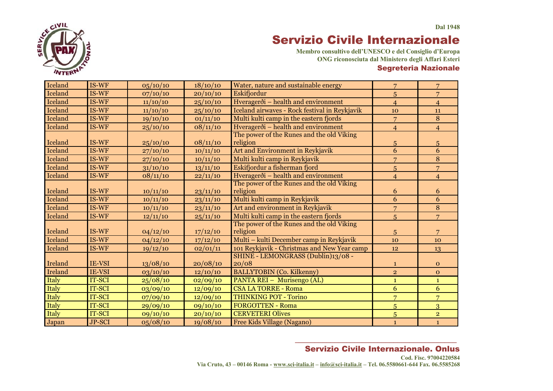

**Membro consultivo dell'UNESCO e del Consiglio d'Europa ONG riconosciuta dal Ministero degli Affari Esteri** Segreteria Nazionale

| Iceland        | IS-WF         | 05/10/10 | 18/10/10 | Water, nature and sustainable energy          | 7               | 7                       |
|----------------|---------------|----------|----------|-----------------------------------------------|-----------------|-------------------------|
| <b>Iceland</b> | IS-WF         | 07/10/10 | 20/10/10 | Eskifjordur                                   | 5               | $\overline{7}$          |
| Iceland        | IS-WF         | 11/10/10 | 25/10/10 | Hveragerði - health and environment           | $\overline{4}$  | $\overline{4}$          |
| Iceland        | IS-WF         | 11/10/10 | 25/10/10 | Iceland airwaves - Rock festival in Reykjavik | 10              | 11                      |
| Iceland        | IS-WF         | 19/10/10 | 01/11/10 | Multi kulti camp in the eastern fjords        | $\overline{7}$  | 8                       |
| Iceland        | IS-WF         | 25/10/10 | 08/11/10 | Hveragerði - health and environment           | $\overline{4}$  | $\overline{4}$          |
|                |               |          |          | The power of the Runes and the old Viking     |                 |                         |
| Iceland        | $IS-WF$       | 25/10/10 | 08/11/10 | religion                                      | $5\overline{)}$ | 5                       |
| <b>Iceland</b> | IS-WF         | 27/10/10 | 10/11/10 | Art and Environment in Reykjavik              | 6               | 6                       |
| Iceland        | IS-WF         | 27/10/10 | 10/11/10 | Multi kulti camp in Reykjavik                 | $\overline{7}$  | 8                       |
| <b>Iceland</b> | IS-WF         | 31/10/10 | 13/11/10 | Eskifjordur a fisherman fjord                 | 5               | $\overline{7}$          |
| Iceland        | IS-WF         | 08/11/10 | 22/11/10 | Hveragerði – health and environment           | $\overline{4}$  | $\overline{4}$          |
|                |               |          |          | The power of the Runes and the old Viking     |                 |                         |
| Iceland        | IS-WF         | 10/11/10 | 23/11/10 | religion                                      | 6               | 6                       |
| Iceland        | IS-WF         | 10/11/10 | 23/11/10 | Multi kulti camp in Reykjavik                 | 6               | 6                       |
| Iceland        | IS-WF         | 10/11/10 | 23/11/10 | Art and environment in Reykjavik              | $\overline{7}$  | 8                       |
| Iceland        | $IS-WF$       | 12/11/10 | 25/11/10 | Multi kulti camp in the eastern fjords        | 5               | $\overline{7}$          |
|                |               |          |          | The power of the Runes and the old Viking     |                 |                         |
| Iceland        | $IS-WF$       | 04/12/10 | 17/12/10 | religion                                      | $5\overline{)}$ | 7                       |
| <b>Iceland</b> | IS-WF         | 04/12/10 | 17/12/10 | Multi – kulti December camp in Reykjavik      | 10              | 10                      |
| Iceland        | IS-WF         | 19/12/10 | 02/01/11 | 101 Reykjavik - Christmas and New Year camp   | 12              | 13                      |
|                |               |          |          | SHINE - LEMONGRASS (Dublin)13/08 -            |                 |                         |
| Ireland        | IE-VSI        | 13/08/10 | 20/08/10 | 20/08                                         | $\mathbf{1}$    | $\mathbf{O}$            |
| Ireland        | IE-VSI        | 03/10/10 | 12/10/10 | <b>BALLYTOBIN</b> (Co. Kilkenny)              | $\overline{2}$  | $\mathbf{O}$            |
| Italy          | IT-SCI        | 25/08/10 | 02/09/10 | PANTA REI - Murisengo (AL)                    | $\mathbf{1}$    | $\mathbf{1}$            |
| Italy          | IT-SCI        | 03/09/10 | 12/09/10 | <b>CSA LA TORRE - Roma</b>                    | $6\overline{6}$ | 6                       |
| Italy          | <b>IT-SCI</b> | 07/09/10 | 12/09/10 | <b>THINKING POT - Torino</b>                  | $\overline{7}$  | $\overline{7}$          |
| Italy          | IT-SCI        | 29/09/10 | 09/10/10 | <b>FORGOTTEN - Roma</b>                       | $\overline{5}$  | 3                       |
| Italy          | IT-SCI        | 09/10/10 | 20/10/10 | <b>CERVETERI Olives</b>                       | $\overline{5}$  | $\overline{\mathbf{2}}$ |
| Japan          | <b>JP-SCI</b> | 05/08/10 | 19/08/10 | Free Kids Village (Nagano)                    | $\mathbf{1}$    | $\mathbf{1}$            |

#### *\_\_\_\_\_\_\_\_\_\_\_\_\_\_\_\_\_\_\_\_\_\_\_\_\_\_\_\_\_\_\_\_\_\_\_\_\_\_\_\_\_*  Servizio Civile Internazionale. Onlus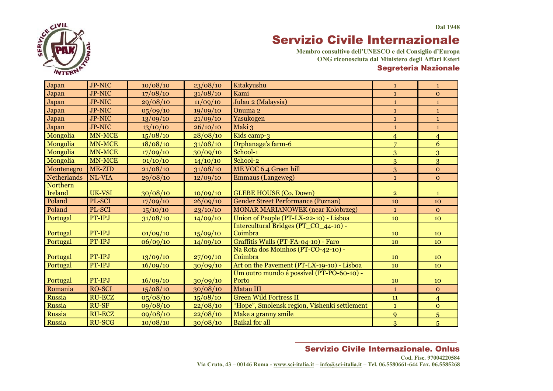

**Membro consultivo dell'UNESCO e del Consiglio d'Europa ONG riconosciuta dal Ministero degli Affari Esteri** Segreteria Nazionale

| Japan              | <b>JP-NIC</b>    | 10/08/10 | 23/08/10 | Kitakyushu                                                                              | $\mathbf{1}$   | $\mathbf{1}$   |
|--------------------|------------------|----------|----------|-----------------------------------------------------------------------------------------|----------------|----------------|
| Japan              | <b>JP-NIC</b>    | 17/08/10 | 31/08/10 | Kami                                                                                    | $\mathbf{1}$   | $\mathbf{O}$   |
| Japan              | JP-NIC           | 29/08/10 | 11/09/10 | Julau 2 (Malaysia)                                                                      | $\mathbf{1}$   | $\mathbf{1}$   |
| Japan              | <b>JP-NIC</b>    | 05/09/10 | 19/09/10 | Onuma <sub>2</sub>                                                                      | $\mathbf{1}$   | $\mathbf{1}$   |
| Japan              | <b>JP-NIC</b>    | 13/09/10 | 21/09/10 | Yasukogen                                                                               | $\mathbf{1}$   | $\mathbf{1}$   |
| Japan              | <b>JP-NIC</b>    | 13/10/10 | 26/10/10 | Maki 3                                                                                  | $\mathbf{1}$   | $\mathbf{1}$   |
| Mongolia           | <b>MN-MCE</b>    | 15/08/10 | 28/08/10 | Kids camp-3                                                                             | $\overline{4}$ | $\overline{4}$ |
| Mongolia           | <b>MN-MCE</b>    | 18/08/10 | 31/08/10 | Orphanage's farm-6                                                                      | $\overline{7}$ | 6              |
| Mongolia           | MN-MCE           | 17/09/10 | 30/09/10 | School-1                                                                                | 3              | $\overline{3}$ |
| Mongolia           | <b>MN-MCE</b>    | 01/10/10 | 14/10/10 | School-2                                                                                | $\overline{3}$ | $\overline{3}$ |
| Montenegro         | ME-ZID           | 21/08/10 | 31/08/10 | ME VOC 6.4 Green hill                                                                   | 3              | $\mathbf{O}$   |
| <b>Netherlands</b> | NL-VIA           | 29/08/10 | 12/09/10 | <b>Emmaus</b> (Langeweg)                                                                | $\mathbf{1}$   | $\Omega$       |
| Northern           |                  |          |          |                                                                                         |                |                |
| Ireland            | UK-VSI           | 30/08/10 | 10/09/10 | <b>GLEBE HOUSE (Co. Down)</b>                                                           | $\overline{2}$ | $\mathbf{1}$   |
| Poland             | PL-SCI           | 17/09/10 | 26/09/10 | <b>Gender Street Performance (Poznan)</b>                                               | 10             | 10             |
| Poland             | PL-SCI           | 15/10/10 | 23/10/10 | <b>MONAR MARIANOWEK (near Kolobrzeg)</b>                                                | $\mathbf{1}$   | $\mathbf{O}$   |
| Portugal           | PT-IPJ           | 31/08/10 | 14/09/10 | Union of People (PT-LX-22-10) - Lisboa                                                  | 10             | 10             |
|                    |                  |          |          | Intercultural Bridges (PT_CO_44-10) -                                                   |                |                |
| Portugal           | PT-IPJ           | 01/09/10 | 15/09/10 | Coimbra                                                                                 | 10             | 10             |
| Portugal           | PT-IPJ           | 06/09/10 | 14/09/10 | Graffitis Walls (PT-FA-04-10) - Faro                                                    | 10             | 10             |
|                    |                  |          |          | Na Rota dos Moinhos (PT-CO-42-10) -                                                     |                |                |
| Portugal           | PT-IPJ<br>PT-IPJ | 13/09/10 | 27/09/10 | Coimbra                                                                                 | 10             | 10             |
| Portugal           |                  | 16/09/10 | 30/09/10 | Art on the Pavement (PT-LX-19-10) - Lisboa<br>Um outro mundo é possível (PT-PO-60-10) - | 10             | 10             |
| Portugal           | PT-IPJ           | 16/09/10 | 30/09/10 | Porto                                                                                   | 10             | 10             |
| Romania            | <b>RO-SCI</b>    | 15/08/10 | 30/08/10 | Matau III                                                                               | $\mathbf{1}$   | $\mathbf{O}$   |
| Russia             | <b>RU-ECZ</b>    | 05/08/10 | 15/08/10 | <b>Green Wild Fortress II</b>                                                           | 11             | $\overline{4}$ |
| Russia             | <b>RU-SF</b>     | 09/08/10 | 22/08/10 | "Hope", Smolensk region, Vishenki settlement                                            | $\mathbf{1}$   | $\mathbf{o}$   |
| Russia             | <b>RU-ECZ</b>    | 09/08/10 | 22/08/10 | Make a granny smile                                                                     | 9              | $\overline{5}$ |
| Russia             | <b>RU-SCG</b>    | 10/08/10 | 30/08/10 | <b>Baikal</b> for all                                                                   | 3              | $\overline{5}$ |

#### *\_\_\_\_\_\_\_\_\_\_\_\_\_\_\_\_\_\_\_\_\_\_\_\_\_\_\_\_\_\_\_\_\_\_\_\_\_\_\_\_\_*  Servizio Civile Internazionale. Onlus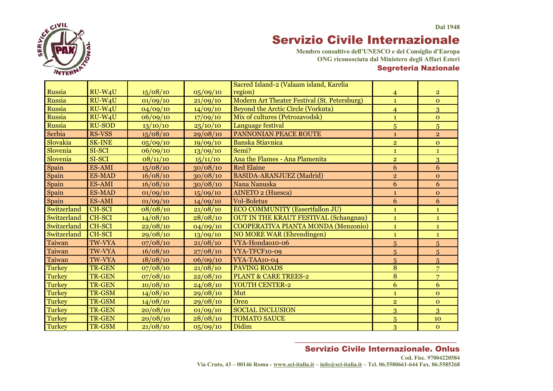

**Membro consultivo dell'UNESCO e del Consiglio d'Europa ONG riconosciuta dal Ministero degli Affari Esteri** Segreteria Nazionale

|               |                     |          |          | Sacred Island-2 (Valaam island, Karelia      |                |                |
|---------------|---------------------|----------|----------|----------------------------------------------|----------------|----------------|
| Russia        | $RU-W4U$            | 15/08/10 | 05/09/10 | region)                                      | $\overline{4}$ | $\overline{2}$ |
| Russia        | RU-W <sub>4</sub> U | 01/09/10 | 21/09/10 | Modern Art Theater Festival (St. Petersburg) | $\mathbf{1}$   | $\mathbf{O}$   |
| Russia        | $RU-W4U$            | 04/09/10 | 14/09/10 | Beyond the Arctic Circle (Vorkuta)           | $\overline{4}$ | 3              |
| Russia        | RU-W4U              | 06/09/10 | 17/09/10 | Mix of cultures (Petrozavodsk)               | $\mathbf{1}$   | $\overline{O}$ |
| Russia        | <b>RU-SOD</b>       | 13/10/10 | 25/10/10 | Language festival                            | 5              | $\overline{5}$ |
| Serbia        | <b>RS-VSS</b>       | 15/08/10 | 29/08/10 | PANNONIAN PEACE ROUTE                        | $\mathbf{1}$   | $\overline{2}$ |
| Slovakia      | <b>SK-INE</b>       | 05/09/10 | 19/09/10 | <b>Banska Stiavnica</b>                      | $\overline{2}$ | $\mathbf{O}$   |
| Slovenia      | SI-SCI              | 06/09/10 | 13/09/10 | Semi?                                        | $\mathbf{1}$   | $\mathbf{1}$   |
| Slovenia      | SI-SCI              | 08/11/10 | 15/11/10 | Ana the Flames - Ana Plamenita               | $\overline{2}$ | 3              |
| Spain         | ES-AMI              | 15/08/10 | 30/08/10 | <b>Red Elaine</b>                            | 6              | 6              |
| Spain         | <b>ES-MAD</b>       | 16/08/10 | 30/08/10 | BASIDA-ARANJUEZ (Madrid)                     | $\overline{2}$ | $\mathbf{O}$   |
| Spain         | ES-AMI              | 16/08/10 | 30/08/10 | Nana Nanuska                                 | 6              | 6              |
| Spain         | <b>ES-MAD</b>       | 01/09/10 | 15/09/10 | <b>AINETO 2 (Huesca)</b>                     | $\mathbf{1}$   | $\mathbf{O}$   |
| Spain         | ES-AMI              | 01/09/10 | 14/09/10 | <b>Vol-Boletus</b>                           | 6              | 6              |
| Switzerland   | <b>CH-SCI</b>       | 08/08/10 | 21/08/10 | ECO COMMUNITY (Essertfallon JU)              | $\mathbf{1}$   | $\mathbf{1}$   |
| Switzerland   | <b>CH-SCI</b>       | 14/08/10 | 28/08/10 | <b>OUT IN THE KRAUT FESTIVAL (Schangnau)</b> | $\mathbf{1}$   | $\mathbf{1}$   |
| Switzerland   | <b>CH-SCI</b>       | 22/08/10 | 04/09/10 | COOPERATIVA PIANTA MONDA (Menzonio)          | $\mathbf{1}$   | $\mathbf{1}$   |
| Switzerland   | <b>CH-SCI</b>       | 29/08/10 | 13/09/10 | <b>NO MORE WAR (Ehrendingen)</b>             | $\mathbf{1}$   | $\mathbf{1}$   |
| Taiwan        | <b>TW-VYA</b>       | 07/08/10 | 21/08/10 | VYA-Honda010-06                              | 5              | 5              |
| Taiwan        | <b>TW-VYA</b>       | 16/08/10 | 27/08/10 | VYA-TFCF10-09                                | 5              | 5              |
| Taiwan        | <b>TW-VYA</b>       | 18/08/10 | 06/09/10 | VYA-TAA10-04                                 | 5              | 5              |
| <b>Turkey</b> | <b>TR-GEN</b>       | 07/08/10 | 21/08/10 | <b>PAVING ROADS</b>                          | $\overline{8}$ | $\overline{7}$ |
| <b>Turkey</b> | <b>TR-GEN</b>       | 07/08/10 | 22/08/10 | <b>PLANT &amp; CARE TREES-2</b>              | 8              | $\overline{7}$ |
| <b>Turkey</b> | <b>TR-GEN</b>       | 10/08/10 | 24/08/10 | YOUTH CENTER-2                               | 6              | 6              |
| <b>Turkey</b> | TR-GSM              | 14/08/10 | 29/08/10 | Mut                                          | $\mathbf{1}$   | $\overline{O}$ |
| <b>Turkey</b> | TR-GSM              | 14/08/10 | 29/08/10 | Oren                                         | $\overline{2}$ | $\overline{O}$ |
| <b>Turkey</b> | <b>TR-GEN</b>       | 20/08/10 | 01/09/10 | <b>SOCIAL INCLUSION</b>                      | 3              | 3              |
| Turkey        | <b>TR-GEN</b>       | 20/08/10 | 28/08/10 | <b>TOMATO SAUCE</b>                          | 5              | 10             |
| <b>Turkey</b> | TR-GSM              | 21/08/10 | 05/09/10 | Didim                                        | 3              | $\mathbf{O}$   |

### *\_\_\_\_\_\_\_\_\_\_\_\_\_\_\_\_\_\_\_\_\_\_\_\_\_\_\_\_\_\_\_\_\_\_\_\_\_\_\_\_\_*  Servizio Civile Internazionale. Onlus